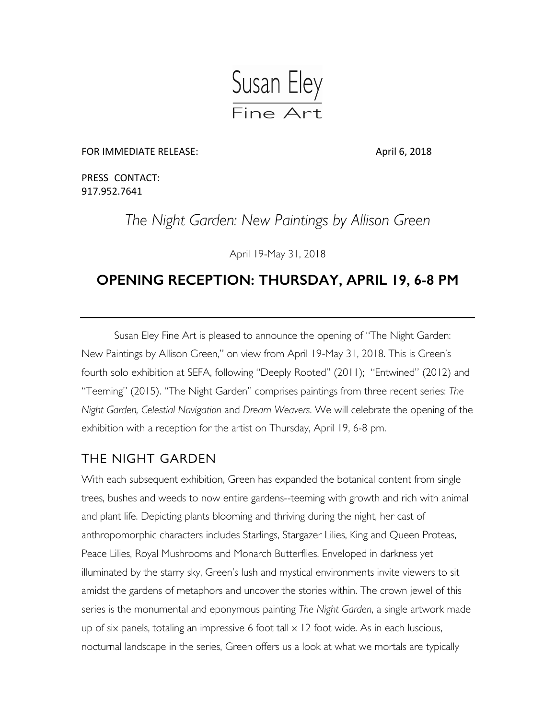

FOR IMMEDIATE RELEASE: April 6, 2018

PRESS CONTACT: 917.952.7641

*The Night Garden: New Paintings by Allison Green*

April 19-May 31, 2018

## **OPENING RECEPTION: THURSDAY, APRIL 19, 6-8 PM**

Susan Eley Fine Art is pleased to announce the opening of "The Night Garden: New Paintings by Allison Green," on view from April 19-May 31, 2018. This is Green's fourth solo exhibition at SEFA, following "Deeply Rooted" (2011); "Entwined" (2012) and "Teeming" (2015). "The Night Garden" comprises paintings from three recent series: *The Night Garden, Celestial Navigation* and *Dream Weavers*. We will celebrate the opening of the exhibition with a reception for the artist on Thursday, April 19, 6-8 pm.

### THE NIGHT GARDEN

With each subsequent exhibition, Green has expanded the botanical content from single trees, bushes and weeds to now entire gardens--teeming with growth and rich with animal and plant life. Depicting plants blooming and thriving during the night, her cast of anthropomorphic characters includes Starlings, Stargazer Lilies, King and Queen Proteas, Peace Lilies, Royal Mushrooms and Monarch Butterflies. Enveloped in darkness yet illuminated by the starry sky, Green's lush and mystical environments invite viewers to sit amidst the gardens of metaphors and uncover the stories within. The crown jewel of this series is the monumental and eponymous painting *The Night Garden*, a single artwork made up of six panels, totaling an impressive 6 foot tall  $\times$  12 foot wide. As in each luscious, nocturnal landscape in the series, Green offers us a look at what we mortals are typically